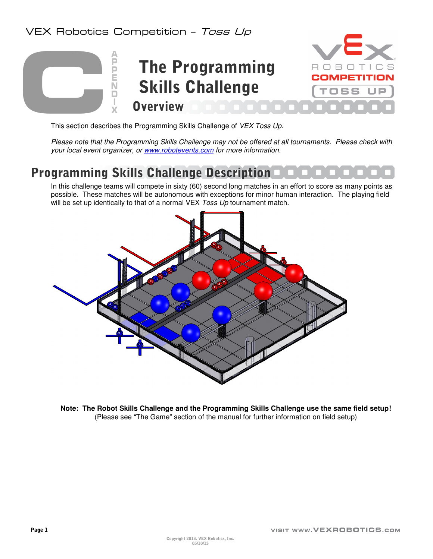#### VEX Robotics Competition - Toss Up



This section describes the Programming Skills Challenge of VEX Toss Up.

Please note that the Programming Skills Challenge may not be offered at all tournaments. Please check with your local event organizer, or www.robotevents.com for more information.

### Programming Skills Challenge Description

In this challenge teams will compete in sixty (60) second long matches in an effort to score as many points as possible. These matches will be autonomous with exceptions for minor human interaction. The playing field will be set up identically to that of a normal VEX Toss Up tournament match.



**Note: The Robot Skills Challenge and the Programming Skills Challenge use the same field setup!** (Please see "The Game" section of the manual for further information on field setup)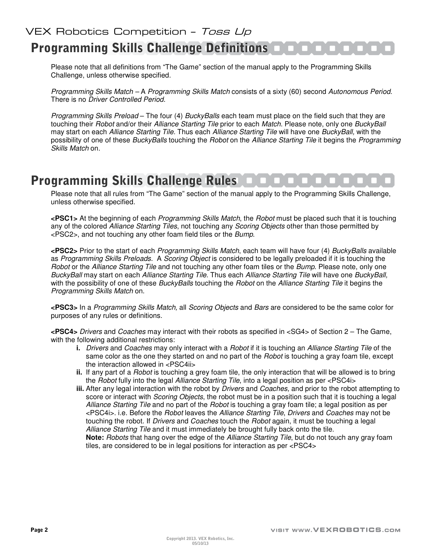# **Programming Skills Challenge Definitions**  $\blacksquare$

Please note that all definitions from "The Game" section of the manual apply to the Programming Skills Challenge, unless otherwise specified.

Programming Skills Match – A Programming Skills Match consists of a sixty (60) second Autonomous Period. There is no Driver Controlled Period.

Programming Skills Preload – The four (4) BuckyBalls each team must place on the field such that they are touching their Robot and/or their Alliance Starting Tile prior to each Match. Please note, only one BuckyBall may start on each Alliance Starting Tile. Thus each Alliance Starting Tile will have one BuckyBall, with the possibility of one of these BuckyBalls touching the Robot on the Alliance Starting Tile it begins the Programming Skills Match on.

### **Programming Skills Challenge Rules**

Please note that all rules from "The Game" section of the manual apply to the Programming Skills Challenge, unless otherwise specified.

**<PSC1>** At the beginning of each Programming Skills Match, the Robot must be placed such that it is touching any of the colored Alliance Starting Tiles, not touching any Scoring Objects other than those permitted by <PSC2>, and not touching any other foam field tiles or the Bump.

**<PSC2>** Prior to the start of each Programming Skills Match, each team will have four (4) BuckyBalls available as Programming Skills Preloads. A Scoring Object is considered to be legally preloaded if it is touching the Robot or the Alliance Starting Tile and not touching any other foam tiles or the Bump. Please note, only one BuckyBall may start on each Alliance Starting Tile. Thus each Alliance Starting Tile will have one BuckyBall, with the possibility of one of these BuckyBalls touching the Robot on the Alliance Starting Tile it begins the Programming Skills Match on.

**<PSC3>** In a Programming Skills Match, all Scoring Objects and Bars are considered to be the same color for purposes of any rules or definitions.

**<PSC4>** Drivers and Coaches may interact with their robots as specified in <SG4> of Section 2 – The Game, with the following additional restrictions:

- **i.** Drivers and Coaches may only interact with a Robot if it is touching an Alliance Starting Tile of the same color as the one they started on and no part of the *Robot* is touching a gray foam tile, except the interaction allowed in <PSC4ii>
- **ii.** If any part of a Robot is touching a grey foam tile, the only interaction that will be allowed is to bring the Robot fully into the legal Alliance Starting Tile, into a legal position as per <PSC4i>
- **iii.** After any legal interaction with the robot by *Drivers* and *Coaches*, and prior to the robot attempting to score or interact with *Scoring Objects*, the robot must be in a position such that it is touching a legal Alliance Starting Tile and no part of the Robot is touching a gray foam tile; a legal position as per <PSC4i>. i.e. Before the Robot leaves the Alliance Starting Tile, Drivers and Coaches may not be touching the robot. If *Drivers* and *Coaches* touch the *Robot* again, it must be touching a legal Alliance Starting Tile and it must immediately be brought fully back onto the tile. **Note:** Robots that hang over the edge of the Alliance Starting Tile, but do not touch any gray foam tiles, are considered to be in legal positions for interaction as per <PSC4>